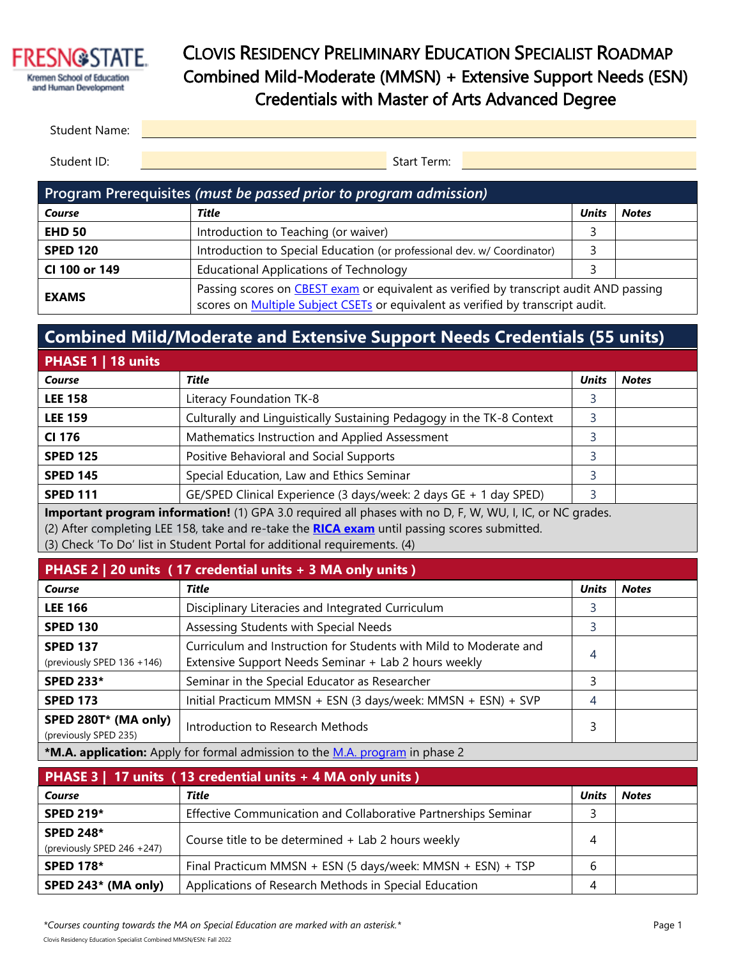

## CLOVIS RESIDENCY PRELIMINARY EDUCATION SPECIALIST ROADMAP Combined Mild-Moderate (MMSN) + Extensive Support Needs (ESN) Credentials with Master of Arts Advanced Degree

| Student Name: |             |  |
|---------------|-------------|--|
|               |             |  |
| Student ID:   | Start Term: |  |

**Program Prerequisites** *(must be passed prior to program admission) Course Title Units Notes* **EHD 50** Introduction to Teaching (or waiver) 3 **SPED 120** Introduction to Special Education (or professional dev. w/ Coordinator) 3 **CI 100 or 149 Educational Applications of Technology 3 3 EXAMS** Passing scores on [CBEST exam](https://www.ctcexams.nesinc.com/TestView.aspx?f=HTML_FRAG/CA_CBEST_TestPage.html) or equivalent as verified by transcript audit AND passing scores on **Multiple Subject CSETs** or equivalent as verified by transcript audit.

## **Combined Mild/Moderate and Extensive Support Needs Credentials (55 units)**

| PHASE 1   18 units                                                                                       |                                                                       |              |              |  |  |
|----------------------------------------------------------------------------------------------------------|-----------------------------------------------------------------------|--------------|--------------|--|--|
| Course                                                                                                   | Title                                                                 | <b>Units</b> | <b>Notes</b> |  |  |
| <b>LEE 158</b>                                                                                           | Literacy Foundation TK-8                                              |              |              |  |  |
| <b>LEE 159</b>                                                                                           | Culturally and Linguistically Sustaining Pedagogy in the TK-8 Context |              |              |  |  |
| CI 176                                                                                                   | Mathematics Instruction and Applied Assessment                        |              |              |  |  |
| <b>SPED 125</b>                                                                                          | Positive Behavioral and Social Supports                               |              |              |  |  |
| <b>SPED 145</b>                                                                                          | Special Education, Law and Ethics Seminar                             |              |              |  |  |
| <b>SPED 111</b>                                                                                          | GE/SPED Clinical Experience (3 days/week: 2 days GE + 1 day SPED)     |              |              |  |  |
| Important program information! (1) GPA 3.0 required all phases with no D, F, W, WU, I, IC, or NC grades. |                                                                       |              |              |  |  |

(2) After completing LEE 158, take and re-take the **[RICA exam](https://www.ctcexams.nesinc.com/TestView.aspx?f=HTML_FRAG/CA_RICA_Written_TestPage.html)** until passing scores submitted.

(3) Check 'To Do' list in Student Portal for additional requirements. (4)

| PHASE 2   20 units (17 credential units + 3 MA only units)                          |                                                                                                                           |              |              |  |  |
|-------------------------------------------------------------------------------------|---------------------------------------------------------------------------------------------------------------------------|--------------|--------------|--|--|
| Course                                                                              | Title                                                                                                                     | <b>Units</b> | <b>Notes</b> |  |  |
| <b>LEE 166</b>                                                                      | Disciplinary Literacies and Integrated Curriculum                                                                         | 3            |              |  |  |
| <b>SPED 130</b>                                                                     | Assessing Students with Special Needs                                                                                     |              |              |  |  |
| <b>SPED 137</b><br>(previously SPED 136 +146)                                       | Curriculum and Instruction for Students with Mild to Moderate and<br>Extensive Support Needs Seminar + Lab 2 hours weekly | 4            |              |  |  |
| <b>SPED 233*</b>                                                                    | Seminar in the Special Educator as Researcher                                                                             | 3            |              |  |  |
| <b>SPED 173</b>                                                                     | Initial Practicum MMSN + ESN (3 days/week: MMSN + ESN) + SVP                                                              | 4            |              |  |  |
| SPED 280T* (MA only)<br>(previously SPED 235)                                       | Introduction to Research Methods                                                                                          | 3            |              |  |  |
| <b>*M.A. application:</b> Apply for formal admission to the M.A. program in phase 2 |                                                                                                                           |              |              |  |  |

| <b>PHASE 3</b>   17 units (13 credential units + 4 MA only units) |                                                                |              |              |  |  |
|-------------------------------------------------------------------|----------------------------------------------------------------|--------------|--------------|--|--|
| Course                                                            | Title                                                          | <b>Units</b> | <b>Notes</b> |  |  |
| <b>SPED 219*</b>                                                  | Effective Communication and Collaborative Partnerships Seminar |              |              |  |  |
| <b>SPED 248*</b><br>(previously SPED 246 +247)                    | Course title to be determined + Lab 2 hours weekly             | 4            |              |  |  |
| <b>SPED 178*</b>                                                  | Final Practicum MMSN + ESN (5 days/week: MMSN + ESN) + TSP     | 6            |              |  |  |
| SPED 243* (MA only)                                               | Applications of Research Methods in Special Education          | 4            |              |  |  |

*\*Courses counting towards the MA on Special Education are marked with an asterisk.*\* Page 1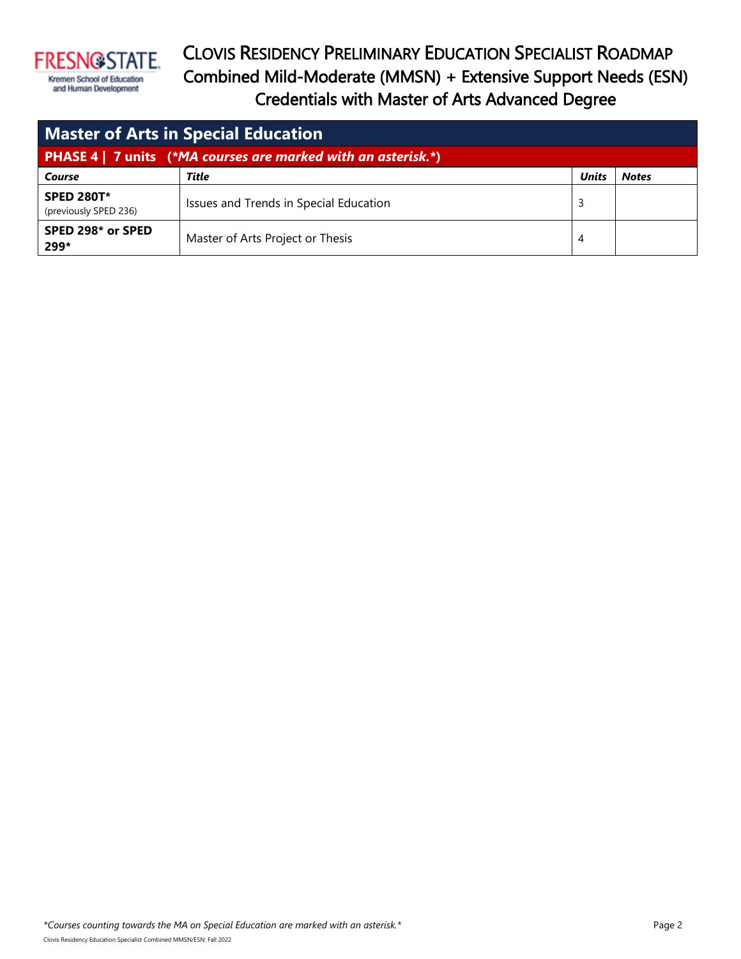

CLOVIS RESIDENCY PRELIMINARY EDUCATION SPECIALIST ROADMAP Combined Mild-Moderate (MMSN) + Extensive Support Needs (ESN) Credentials with Master of Arts Advanced Degree

| <b>Master of Arts in Special Education</b>                           |                                        |       |              |  |  |
|----------------------------------------------------------------------|----------------------------------------|-------|--------------|--|--|
| <b>PHASE 4</b>   7 units (*MA courses are marked with an asterisk.*) |                                        |       |              |  |  |
| Course                                                               | Title                                  | Units | <b>Notes</b> |  |  |
| <b>SPED 280T*</b><br>(previously SPED 236)                           | Issues and Trends in Special Education |       |              |  |  |
| SPED 298* or SPED<br>299*                                            | Master of Arts Project or Thesis       | 4     |              |  |  |